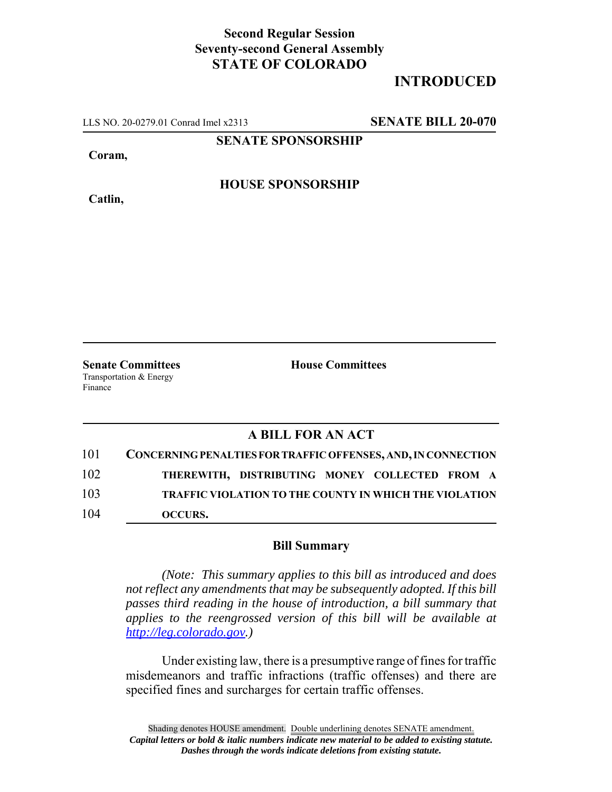## **Second Regular Session Seventy-second General Assembly STATE OF COLORADO**

## **INTRODUCED**

LLS NO. 20-0279.01 Conrad Imel x2313 **SENATE BILL 20-070**

**SENATE SPONSORSHIP**

**Coram,**

**Catlin,**

**HOUSE SPONSORSHIP**

**Senate Committees House Committees** Transportation & Energy Finance

### **A BILL FOR AN ACT**

| 101 | CONCERNING PENALTIES FOR TRAFFIC OFFENSES, AND, IN CONNECTION |
|-----|---------------------------------------------------------------|
| 102 | THEREWITH, DISTRIBUTING MONEY COLLECTED FROM A                |
| 103 | <b>TRAFFIC VIOLATION TO THE COUNTY IN WHICH THE VIOLATION</b> |
| 104 | <b>OCCURS.</b>                                                |

#### **Bill Summary**

*(Note: This summary applies to this bill as introduced and does not reflect any amendments that may be subsequently adopted. If this bill passes third reading in the house of introduction, a bill summary that applies to the reengrossed version of this bill will be available at http://leg.colorado.gov.)*

Under existing law, there is a presumptive range of fines for traffic misdemeanors and traffic infractions (traffic offenses) and there are specified fines and surcharges for certain traffic offenses.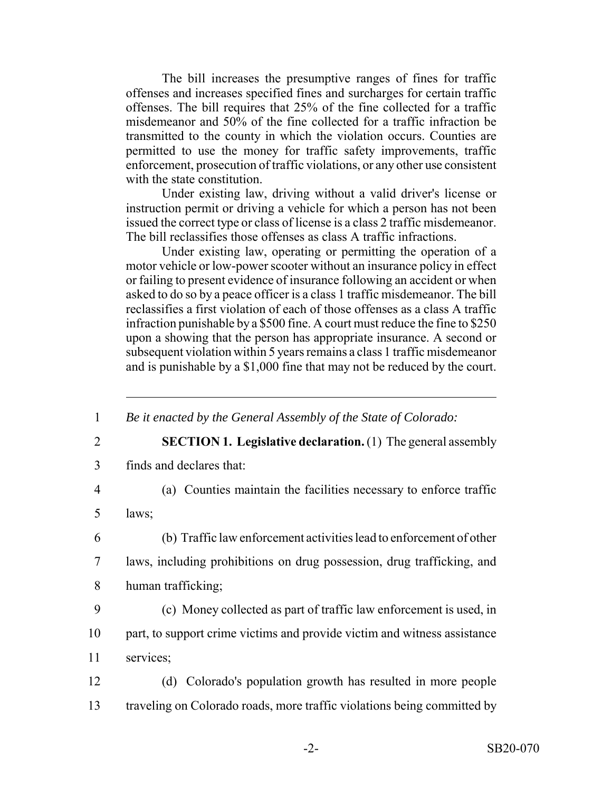The bill increases the presumptive ranges of fines for traffic offenses and increases specified fines and surcharges for certain traffic offenses. The bill requires that 25% of the fine collected for a traffic misdemeanor and 50% of the fine collected for a traffic infraction be transmitted to the county in which the violation occurs. Counties are permitted to use the money for traffic safety improvements, traffic enforcement, prosecution of traffic violations, or any other use consistent with the state constitution.

Under existing law, driving without a valid driver's license or instruction permit or driving a vehicle for which a person has not been issued the correct type or class of license is a class 2 traffic misdemeanor. The bill reclassifies those offenses as class A traffic infractions.

Under existing law, operating or permitting the operation of a motor vehicle or low-power scooter without an insurance policy in effect or failing to present evidence of insurance following an accident or when asked to do so by a peace officer is a class 1 traffic misdemeanor. The bill reclassifies a first violation of each of those offenses as a class A traffic infraction punishable by a \$500 fine. A court must reduce the fine to \$250 upon a showing that the person has appropriate insurance. A second or subsequent violation within 5 years remains a class 1 traffic misdemeanor and is punishable by a \$1,000 fine that may not be reduced by the court.

1 *Be it enacted by the General Assembly of the State of Colorado:*

- 
- 2 **SECTION 1. Legislative declaration.** (1) The general assembly
- 3 finds and declares that:
- 4 (a) Counties maintain the facilities necessary to enforce traffic

5 laws;

- 6 (b) Traffic law enforcement activities lead to enforcement of other
- 7 laws, including prohibitions on drug possession, drug trafficking, and 8 human trafficking;
- 9 (c) Money collected as part of traffic law enforcement is used, in
- 10 part, to support crime victims and provide victim and witness assistance
- 11 services;
- 12 (d) Colorado's population growth has resulted in more people 13 traveling on Colorado roads, more traffic violations being committed by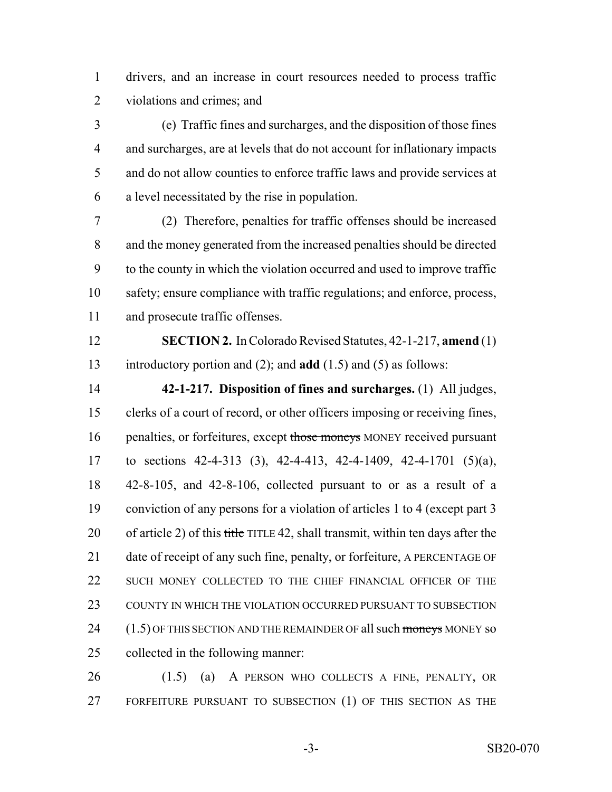drivers, and an increase in court resources needed to process traffic violations and crimes; and

 (e) Traffic fines and surcharges, and the disposition of those fines and surcharges, are at levels that do not account for inflationary impacts and do not allow counties to enforce traffic laws and provide services at a level necessitated by the rise in population.

 (2) Therefore, penalties for traffic offenses should be increased and the money generated from the increased penalties should be directed to the county in which the violation occurred and used to improve traffic safety; ensure compliance with traffic regulations; and enforce, process, and prosecute traffic offenses.

 **SECTION 2.** In Colorado Revised Statutes, 42-1-217, **amend** (1) introductory portion and (2); and **add** (1.5) and (5) as follows:

 **42-1-217. Disposition of fines and surcharges.** (1) All judges, clerks of a court of record, or other officers imposing or receiving fines, 16 penalties, or forfeitures, except those moneys MONEY received pursuant to sections 42-4-313 (3), 42-4-413, 42-4-1409, 42-4-1701 (5)(a), 42-8-105, and 42-8-106, collected pursuant to or as a result of a conviction of any persons for a violation of articles 1 to 4 (except part 3 20 of article 2) of this title TITLE 42, shall transmit, within ten days after the 21 date of receipt of any such fine, penalty, or forfeiture, A PERCENTAGE OF 22 SUCH MONEY COLLECTED TO THE CHIEF FINANCIAL OFFICER OF THE COUNTY IN WHICH THE VIOLATION OCCURRED PURSUANT TO SUBSECTION 24 (1.5) OF THIS SECTION AND THE REMAINDER OF all such moneys MONEY so collected in the following manner:

 (1.5) (a) A PERSON WHO COLLECTS A FINE, PENALTY, OR FORFEITURE PURSUANT TO SUBSECTION (1) OF THIS SECTION AS THE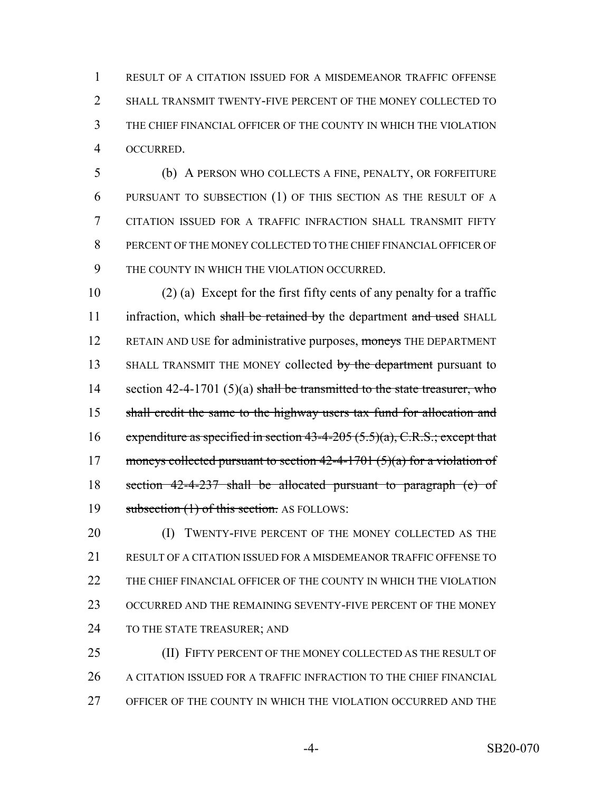RESULT OF A CITATION ISSUED FOR A MISDEMEANOR TRAFFIC OFFENSE 2 SHALL TRANSMIT TWENTY-FIVE PERCENT OF THE MONEY COLLECTED TO THE CHIEF FINANCIAL OFFICER OF THE COUNTY IN WHICH THE VIOLATION OCCURRED.

 (b) A PERSON WHO COLLECTS A FINE, PENALTY, OR FORFEITURE PURSUANT TO SUBSECTION (1) OF THIS SECTION AS THE RESULT OF A CITATION ISSUED FOR A TRAFFIC INFRACTION SHALL TRANSMIT FIFTY PERCENT OF THE MONEY COLLECTED TO THE CHIEF FINANCIAL OFFICER OF THE COUNTY IN WHICH THE VIOLATION OCCURRED.

10 (2) (a) Except for the first fifty cents of any penalty for a traffic 11 infraction, which shall be retained by the department and used SHALL 12 RETAIN AND USE for administrative purposes, moneys THE DEPARTMENT 13 SHALL TRANSMIT THE MONEY collected by the department pursuant to 14 section 42-4-1701 (5)(a) shall be transmitted to the state treasurer, who 15 shall credit the same to the highway users tax fund for allocation and 16 expenditure as specified in section 43-4-205  $(5.5)(a)$ , C.R.S.; except that 17 moneys collected pursuant to section  $42-4-1701$  (5)(a) for a violation of 18 section 42-4-237 shall be allocated pursuant to paragraph (e) of 19 subsection (1) of this section. AS FOLLOWS:

20 (I) TWENTY-FIVE PERCENT OF THE MONEY COLLECTED AS THE 21 RESULT OF A CITATION ISSUED FOR A MISDEMEANOR TRAFFIC OFFENSE TO 22 THE CHIEF FINANCIAL OFFICER OF THE COUNTY IN WHICH THE VIOLATION 23 OCCURRED AND THE REMAINING SEVENTY-FIVE PERCENT OF THE MONEY 24 TO THE STATE TREASURER; AND

25 (II) FIFTY PERCENT OF THE MONEY COLLECTED AS THE RESULT OF 26 A CITATION ISSUED FOR A TRAFFIC INFRACTION TO THE CHIEF FINANCIAL 27 OFFICER OF THE COUNTY IN WHICH THE VIOLATION OCCURRED AND THE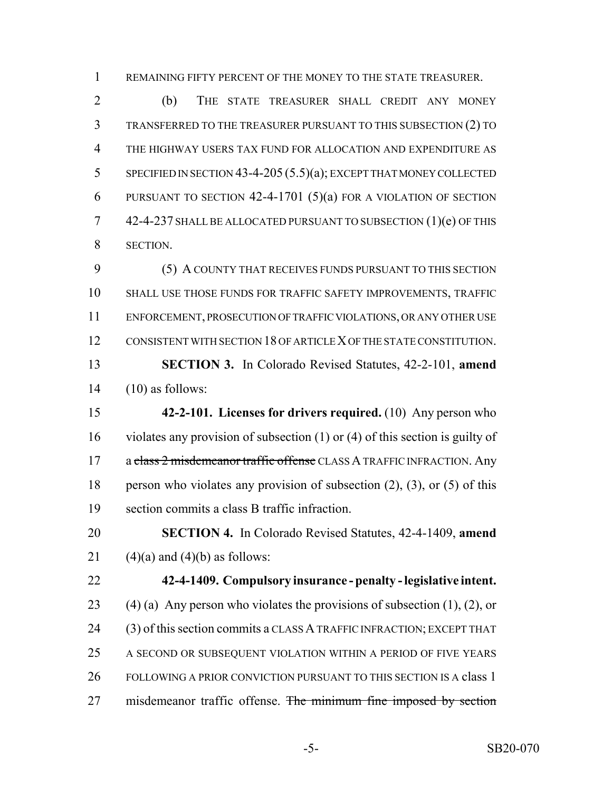REMAINING FIFTY PERCENT OF THE MONEY TO THE STATE TREASURER.

 (b) THE STATE TREASURER SHALL CREDIT ANY MONEY TRANSFERRED TO THE TREASURER PURSUANT TO THIS SUBSECTION (2) TO THE HIGHWAY USERS TAX FUND FOR ALLOCATION AND EXPENDITURE AS SPECIFIED IN SECTION 43-4-205 (5.5)(a); EXCEPT THAT MONEY COLLECTED PURSUANT TO SECTION 42-4-1701 (5)(a) FOR A VIOLATION OF SECTION 42-4-237 SHALL BE ALLOCATED PURSUANT TO SUBSECTION (1)(e) OF THIS SECTION.

 (5) A COUNTY THAT RECEIVES FUNDS PURSUANT TO THIS SECTION SHALL USE THOSE FUNDS FOR TRAFFIC SAFETY IMPROVEMENTS, TRAFFIC ENFORCEMENT, PROSECUTION OF TRAFFIC VIOLATIONS, OR ANY OTHER USE CONSISTENT WITH SECTION 18 OF ARTICLE X OF THE STATE CONSTITUTION. **SECTION 3.** In Colorado Revised Statutes, 42-2-101, **amend** (10) as follows:

 **42-2-101. Licenses for drivers required.** (10) Any person who violates any provision of subsection (1) or (4) of this section is guilty of 17 a class 2 misdemeanor traffic offense CLASS A TRAFFIC INFRACTION. Any person who violates any provision of subsection (2), (3), or (5) of this section commits a class B traffic infraction.

 **SECTION 4.** In Colorado Revised Statutes, 42-4-1409, **amend** 21  $(4)(a)$  and  $(4)(b)$  as follows:

# **42-4-1409. Compulsory insurance - penalty - legislative intent.**

23 (4) (a) Any person who violates the provisions of subsection  $(1)$ ,  $(2)$ , or (3) of this section commits a CLASS A TRAFFIC INFRACTION; EXCEPT THAT A SECOND OR SUBSEQUENT VIOLATION WITHIN A PERIOD OF FIVE YEARS 26 FOLLOWING A PRIOR CONVICTION PURSUANT TO THIS SECTION IS A class 1 27 misdemeanor traffic offense. The minimum fine imposed by section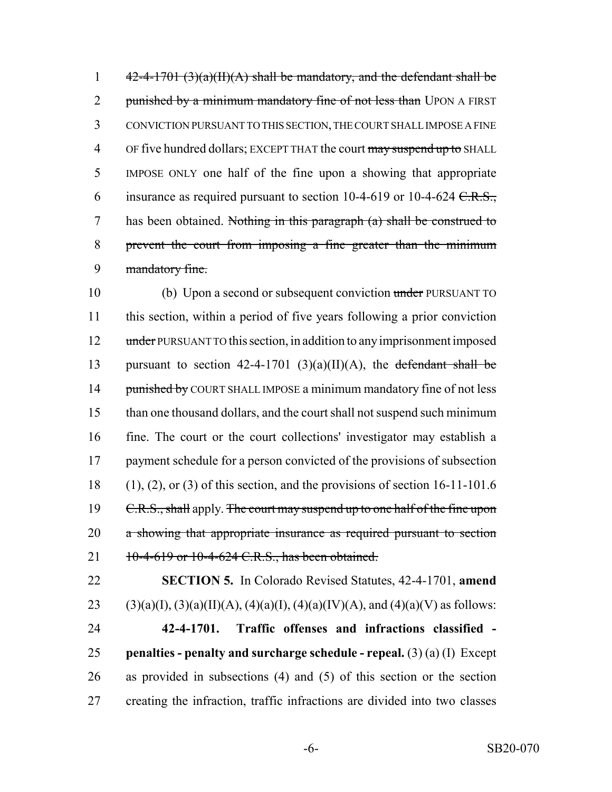$42-4-1701 \cdot (3)(a)(H)(A)$  shall be mandatory, and the defendant shall be 2 punished by a minimum mandatory fine of not less than UPON A FIRST CONVICTION PURSUANT TO THIS SECTION, THE COURT SHALL IMPOSE A FINE 4 OF five hundred dollars; EXCEPT THAT the court may suspend up to SHALL IMPOSE ONLY one half of the fine upon a showing that appropriate 6 insurance as required pursuant to section 10-4-619 or 10-4-624  $C.R.S.,$  has been obtained. Nothing in this paragraph (a) shall be construed to prevent the court from imposing a fine greater than the minimum mandatory fine.

10 (b) Upon a second or subsequent conviction under PURSUANT TO 11 this section, within a period of five years following a prior conviction 12 under PURSUANT TO this section, in addition to any imprisonment imposed 13 pursuant to section  $42-4-1701$  (3)(a)(II)(A), the defendant shall be 14 punished by COURT SHALL IMPOSE a minimum mandatory fine of not less 15 than one thousand dollars, and the court shall not suspend such minimum 16 fine. The court or the court collections' investigator may establish a 17 payment schedule for a person convicted of the provisions of subsection  $18$  (1), (2), or (3) of this section, and the provisions of section 16-11-101.6 19 C.R.S., shall apply. The court may suspend up to one half of the fine upon 20 a showing that appropriate insurance as required pursuant to section 21 10-4-619 or 10-4-624 C.R.S., has been obtained.

22 **SECTION 5.** In Colorado Revised Statutes, 42-4-1701, **amend** 23 (3)(a)(I), (3)(a)(II)(A), (4)(a)(I), (4)(a)(IV)(A), and (4)(a)(V) as follows:

 **42-4-1701. Traffic offenses and infractions classified - penalties - penalty and surcharge schedule - repeal.** (3) (a) (I) Except as provided in subsections (4) and (5) of this section or the section creating the infraction, traffic infractions are divided into two classes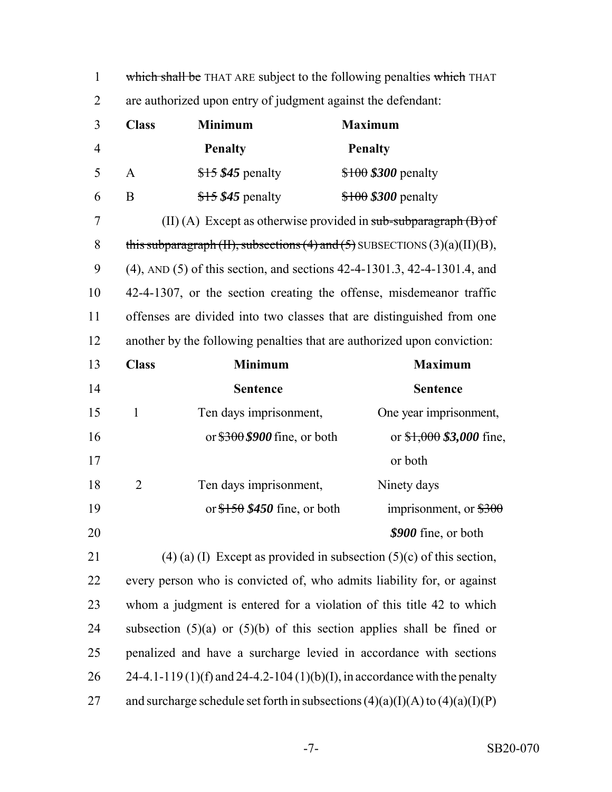| $\mathbf{1}$   | which shall be THAT ARE subject to the following penalties which THAT     |                                |                                                                                  |
|----------------|---------------------------------------------------------------------------|--------------------------------|----------------------------------------------------------------------------------|
| $\overline{2}$ | are authorized upon entry of judgment against the defendant:              |                                |                                                                                  |
| 3              | <b>Class</b>                                                              | <b>Minimum</b>                 | <b>Maximum</b>                                                                   |
| $\overline{4}$ |                                                                           | <b>Penalty</b>                 | <b>Penalty</b>                                                                   |
| 5              | A                                                                         | $$15$345$ penalty              | $$100$$ \$300 penalty                                                            |
| 6              | $\bf{B}$                                                                  | $$15$345$ penalty              | $$100$$ \$300 penalty                                                            |
| 7              |                                                                           |                                | (II) (A) Except as otherwise provided in $sub-subparagnah(B)$ of                 |
| 8              |                                                                           |                                | this subparagraph (II), subsections (4) and (5) SUBSECTIONS $(3)(a)(II)(B)$ ,    |
| 9              |                                                                           |                                | (4), AND (5) of this section, and sections 42-4-1301.3, 42-4-1301.4, and         |
| 10             |                                                                           |                                | 42-4-1307, or the section creating the offense, misdemeanor traffic              |
| 11             |                                                                           |                                | offenses are divided into two classes that are distinguished from one            |
| 12             |                                                                           |                                | another by the following penalties that are authorized upon conviction:          |
| 13             | <b>Class</b>                                                              | <b>Minimum</b>                 | <b>Maximum</b>                                                                   |
| 14             |                                                                           | <b>Sentence</b>                | <b>Sentence</b>                                                                  |
| 15             | $\mathbf{1}$                                                              | Ten days imprisonment,         | One year imprisonment,                                                           |
| 16             |                                                                           | or $$300$$ \$900 fine, or both | or $$1,000$ \$3,000 fine,                                                        |
| 17             |                                                                           |                                | or both                                                                          |
| 18             | $\overline{2}$                                                            | Ten days imprisonment,         | Ninety days                                                                      |
| 19             |                                                                           | or $$150$$ \$450 fine, or both | imprisonment, or $$300$                                                          |
| 20             |                                                                           |                                | \$900 fine, or both                                                              |
| 21             |                                                                           |                                | $(4)$ (a) (I) Except as provided in subsection $(5)(c)$ of this section,         |
| 22             |                                                                           |                                | every person who is convicted of, who admits liability for, or against           |
| 23             | whom a judgment is entered for a violation of this title 42 to which      |                                |                                                                                  |
| 24             | subsection $(5)(a)$ or $(5)(b)$ of this section applies shall be fined or |                                |                                                                                  |
| 25             |                                                                           |                                | penalized and have a surcharge levied in accordance with sections                |
| 26             |                                                                           |                                | 24-4.1-119 (1)(f) and 24-4.2-104 (1)(b)(I), in accordance with the penalty       |
| 27             |                                                                           |                                | and surcharge schedule set forth in subsections $(4)(a)(I)(A)$ to $(4)(a)(I)(P)$ |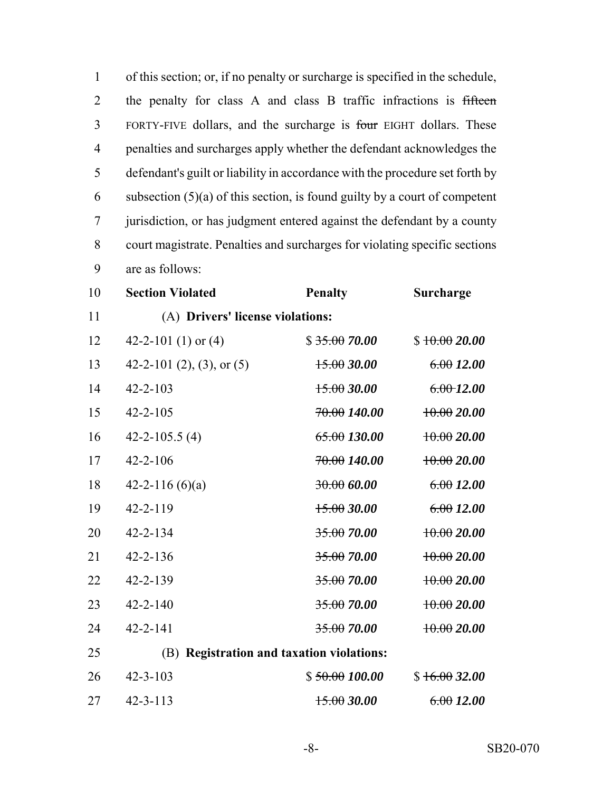of this section; or, if no penalty or surcharge is specified in the schedule, the penalty for class A and class B traffic infractions is fifteen FORTY-FIVE dollars, and the surcharge is four EIGHT dollars. These penalties and surcharges apply whether the defendant acknowledges the defendant's guilt or liability in accordance with the procedure set forth by 6 subsection  $(5)(a)$  of this section, is found guilty by a court of competent jurisdiction, or has judgment entered against the defendant by a county court magistrate. Penalties and surcharges for violating specific sections are as follows:

| 10 | <b>Section Violated</b>                   | <b>Penalty</b>          | Surcharge      |
|----|-------------------------------------------|-------------------------|----------------|
| 11 | (A) Drivers' license violations:          |                         |                |
| 12 | 42-2-101 (1) or $(4)$                     | \$35.0070.00            | \$10.0020.00   |
| 13 | 42-2-101 (2), (3), or (5)                 | 15.0030.00              | 6.0012.00      |
| 14 | $42 - 2 - 103$                            | 15.0030.00              | $6.00 - 12.00$ |
| 15 | $42 - 2 - 105$                            | <del>70.00</del> 140.00 | 10.0020.00     |
| 16 | $42 - 2 - 105.5(4)$                       | 65.00130.00             | 10.0020.00     |
| 17 | $42 - 2 - 106$                            | <del>70.00</del> 140.00 | 10.0020.00     |
| 18 | 42-2-116 $(6)(a)$                         | 30.00600                | 6.0012.00      |
| 19 | $42 - 2 - 119$                            | 15.0030.00              | 6.0012.00      |
| 20 | $42 - 2 - 134$                            | <del>35.00</del> 70.00  | 10.0020.00     |
| 21 | $42 - 2 - 136$                            | 35.0070.00              | 10.0020.00     |
| 22 | $42 - 2 - 139$                            | <del>35.00</del> 70.00  | 10.0020.00     |
| 23 | $42 - 2 - 140$                            | 35.0070.00              | 10.0020.00     |
| 24 | $42 - 2 - 141$                            | <del>35.00</del> 70.00  | 10.0020.00     |
| 25 | (B) Registration and taxation violations: |                         |                |
| 26 | $42 - 3 - 103$                            | \$50.00100.00           | \$16.0032.00   |
| 27 | $42 - 3 - 113$                            | 15.0030.00              | 6.0012.00      |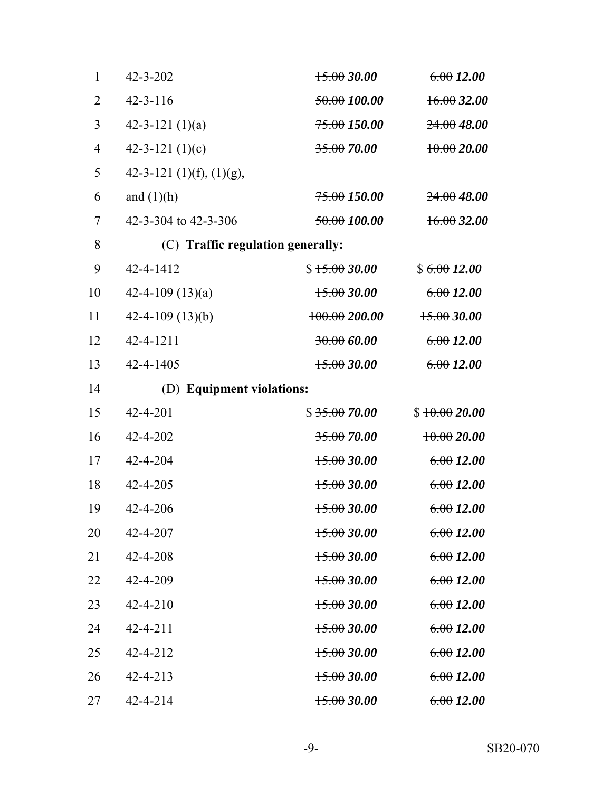| $\mathbf{1}$   | $42 - 3 - 202$                    | 15.0030.00              | 6.0012.00    |
|----------------|-----------------------------------|-------------------------|--------------|
| $\overline{2}$ | $42 - 3 - 116$                    | <del>50.00</del> 100.00 | 16.0032.00   |
| 3              | 42-3-121 $(1)(a)$                 | <del>75.00</del> 150.00 | 24.0048.00   |
| $\overline{4}$ | 42-3-121 $(1)(c)$                 | 35.00 70.00             | 10.0020.00   |
| 5              | 42-3-121 (1)(f), (1)(g),          |                         |              |
| 6              | and $(1)(h)$                      | <del>75.00</del> 150.00 | 24.0048.00   |
| 7              | 42-3-304 to 42-3-306              | 50.00100.00             | 16.0032.00   |
| 8              | (C) Traffic regulation generally: |                         |              |
| 9              | 42-4-1412                         | \$15.0030.00            | \$6.0012.00  |
| 10             | 42-4-109 $(13)(a)$                | 15.0030.00              | 6.0012.00    |
| 11             | $42 - 4 - 109(13)(b)$             | 100.00200.00            | 15.0030.00   |
| 12             | 42-4-1211                         | 30.00600                | 6.0012.00    |
| 13             | 42-4-1405                         | 15.0030.00              | 6.0012.00    |
| 14             | (D) Equipment violations:         |                         |              |
| 15             | 42-4-201                          | \$35.0070.00            | \$10.0020.00 |
| 16             | 42-4-202                          | 35.0070.00              | $+0.0020.00$ |
| 17             | 42-4-204                          | 15.0030.00              | 6.0012.00    |
| 18             | 42-4-205                          | 15.0030.00              | 6.0012.00    |
| 19             | 42-4-206                          | 15.0030.00              | 6.0012.00    |
| 20             | 42-4-207                          | $15.00\,30.00$          | 6.0012.00    |
| 21             | 42-4-208                          | 15.0030.00              | 6.0012.00    |
| 22             | 42-4-209                          | 15.0030.00              | 6.0012.00    |
| 23             | $42 - 4 - 210$                    | 15.0030.00              | 6.0012.00    |
| 24             | $42 - 4 - 211$                    | 15.0030.00              | 6.0012.00    |
| 25             | 42-4-212                          | 15.0030.00              | 6.0012.00    |
| 26             | 42-4-213                          | 15.0030.00              | 6.0012.00    |
| 27             | 42-4-214                          | 15.0030.00              | 6.0012.00    |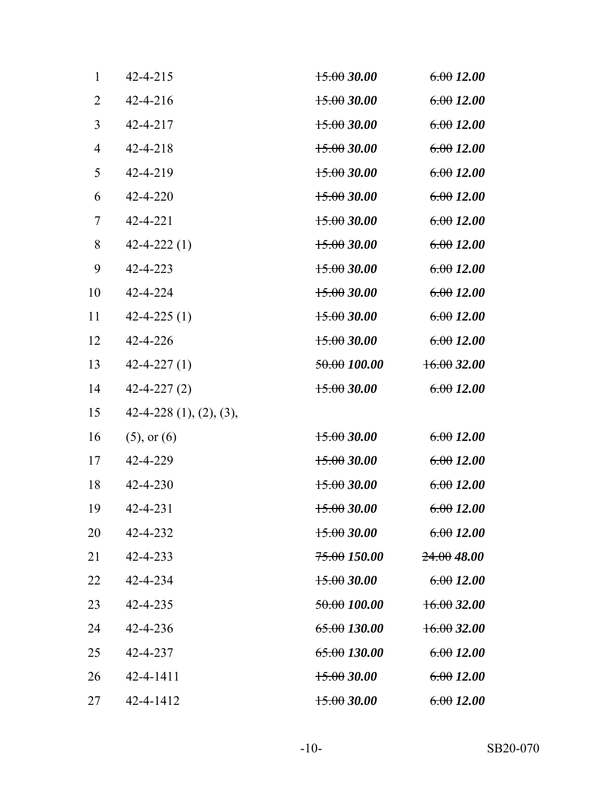| $\mathbf{1}$   | $42 - 4 - 215$           | $+5.0030.00$            | 6.0012.00  |
|----------------|--------------------------|-------------------------|------------|
| $\overline{2}$ | $42 - 4 - 216$           | 15.0030.00              | 6.0012.00  |
| 3              | 42-4-217                 | 15.0030.00              | 6.0012.00  |
| $\overline{4}$ | $42 - 4 - 218$           | 15.0030.00              | 6.0012.00  |
| 5              | 42-4-219                 | 15.0030.00              | 6.0012.00  |
| 6              | 42-4-220                 | 15.0030.00              | 6.0012.00  |
| 7              | 42-4-221                 | 15.0030.00              | 6.0012.00  |
| 8              | $42 - 4 - 222(1)$        | $+5.0030.00$            | 6.0012.00  |
| 9              | 42-4-223                 | 15.0030.00              | 6.0012.00  |
| 10             | 42-4-224                 | 15.0030.00              | 6.0012.00  |
| 11             | $42 - 4 - 225(1)$        | 15.0030.00              | 6.0012.00  |
| 12             | 42-4-226                 | 15.0030.00              | 6.0012.00  |
| 13             | $42 - 4 - 227(1)$        | 50.00100.00             | 16.0032.00 |
| 14             | $42 - 4 - 227(2)$        | 15.0030.00              | 6.0012.00  |
| 15             | $42-4-228(1), (2), (3),$ |                         |            |
| 16             | $(5)$ , or $(6)$         | 15.0030.00              | 6.0012.00  |
| 17             | 42-4-229                 | 15.0030.00              | 6.0012.00  |
| 18             | 42-4-230                 | 15.0030.00              | 6.0012.00  |
| 19             | $42 - 4 - 231$           | $+5.0030.00$            | 6.0012.00  |
| 20             | 42-4-232                 | $15.00\,30.00$          | 6.0012.00  |
| 21             | 42-4-233                 | <del>75.00</del> 150.00 | 24.0048.00 |
| 22             | 42-4-234                 | 15.0030.00              | 6.0012.00  |
| 23             | 42-4-235                 | 50.00100.00             | 16.0032.00 |
| 24             | 42-4-236                 | <del>65.00</del> 130.00 | 16.0032.00 |
| 25             | 42-4-237                 | <del>65.00</del> 130.00 | 6.0012.00  |
| 26             | $42 - 4 - 1411$          | $+5.0030.00$            | 6.0012.00  |
| 27             | 42-4-1412                | $+5.0030.00$            | 6.0012.00  |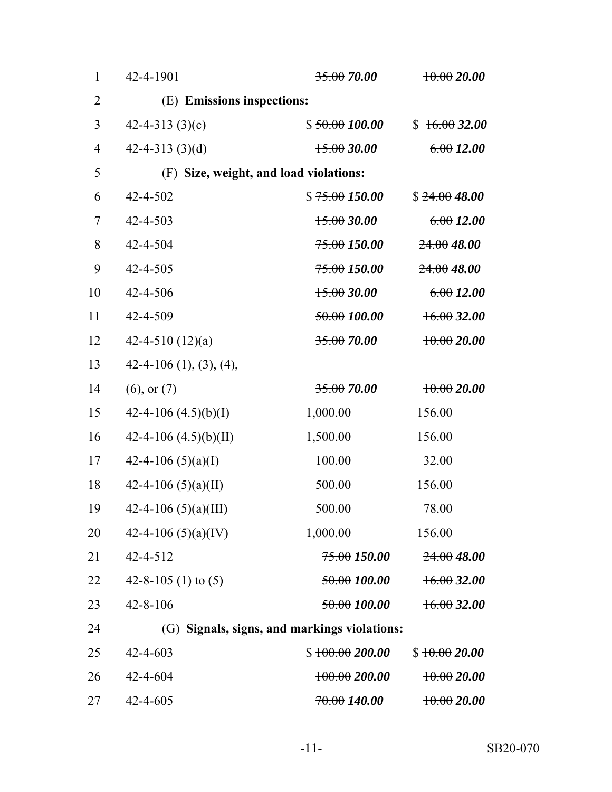| $\mathbf{1}$   | 42-4-1901                              | 35.0070.00                                   | $+0.0020.00$ |
|----------------|----------------------------------------|----------------------------------------------|--------------|
| $\overline{2}$ | (E) Emissions inspections:             |                                              |              |
| 3              | 42-4-313 $(3)(c)$                      | \$50.00100.00                                | \$16.0032.00 |
| $\overline{4}$ | 42-4-313 $(3)(d)$                      | 15.0030.00                                   | 6.0012.00    |
| 5              | (F) Size, weight, and load violations: |                                              |              |
| 6              | 42-4-502                               | \$75.00150.00                                | \$24.0048.00 |
| 7              | 42-4-503                               | 15.0030.00                                   | 6.0012.00    |
| 8              | 42-4-504                               | <del>75.00</del> 150.00                      | 24.0048.00   |
| 9              | 42-4-505                               | 75.00 150.00                                 | 24.0048.00   |
| 10             | 42-4-506                               | 15.0030.00                                   | 6.0012.00    |
| 11             | 42-4-509                               | 50.00100.00                                  | 16.0032.00   |
| 12             | 42-4-510 $(12)(a)$                     | 35.0070.00                                   | $+0.0020.00$ |
| 13             | $42-4-106$ (1), (3), (4),              |                                              |              |
| 14             | $(6)$ , or $(7)$                       | 35.0070.00                                   | $+0.0020.00$ |
| 15             | 42-4-106 $(4.5)(b)(I)$                 | 1,000.00                                     | 156.00       |
| 16             | 42-4-106 $(4.5)(b)(II)$                | 1,500.00                                     | 156.00       |
| 17             | 42-4-106 $(5)(a)(I)$                   | 100.00                                       | 32.00        |
| 18             | 42-4-106 $(5)(a)(II)$                  | 500.00                                       | 156.00       |
| 19             | 42-4-106 $(5)(a)(III)$                 | 500.00                                       | 78.00        |
| 20             | 42-4-106 $(5)(a)(IV)$                  | 1,000.00                                     | 156.00       |
| 21             | $42 - 4 - 512$                         | <del>75.00</del> 150.00                      | 24.0048.00   |
| 22             | 42-8-105 (1) to $(5)$                  | 50.00100.00                                  | 16.0032.00   |
| 23             | $42 - 8 - 106$                         | 50.00 100.00                                 | 16.0032.00   |
| 24             |                                        | (G) Signals, signs, and markings violations: |              |
| 25             | 42-4-603                               | \$100.00200.00                               | \$10.0020.00 |
| 26             | 42-4-604                               | $+00.00200.00$                               | 10.0020.00   |
| 27             | 42-4-605                               | 70.00140.00                                  | 10.0020.00   |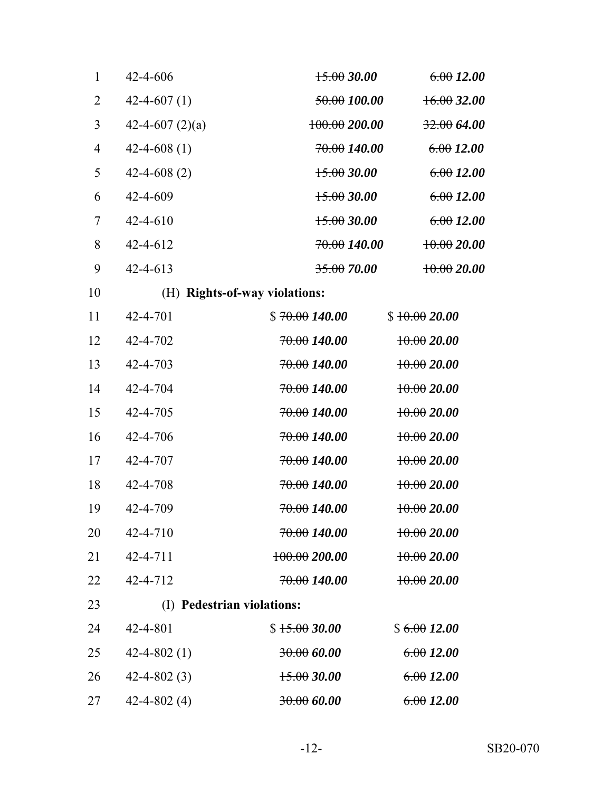| $\mathbf{1}$   | $42 - 4 - 606$    | 15.0030.00                    | 6.0012.00    |
|----------------|-------------------|-------------------------------|--------------|
| $\overline{2}$ | $42 - 4 - 607(1)$ | 50.00 100.00                  | 16.0032.00   |
| 3              | 42-4-607 $(2)(a)$ | 100.00200.00                  | 32.0064.00   |
| $\overline{4}$ | $42 - 4 - 608(1)$ | <del>70.00</del> 140.00       | 6.0012.00    |
| 5              | $42 - 4 - 608(2)$ | 15.0030.00                    | 6.0012.00    |
| 6              | 42-4-609          | 15.0030.00                    | 6.0012.00    |
| 7              | $42 - 4 - 610$    | 15.0030.00                    | 6.0012.00    |
| 8              | $42 - 4 - 612$    | <del>70.00</del> 140.00       | $+0.0020.00$ |
| 9              | $42 - 4 - 613$    | 35.00 70.00                   | 10.0020.00   |
| 10             |                   | (H) Rights-of-way violations: |              |
| 11             | 42-4-701          | \$70.00140.00                 | \$10.0020.00 |
| 12             | 42-4-702          | <del>70.00</del> 140.00       | $+0.0020.00$ |
| 13             | 42-4-703          | <del>70.00</del> 140.00       | $+0.0020.00$ |
| 14             | 42-4-704          | <del>70.00</del> 140.00       | $+0.0020.00$ |
| 15             | 42-4-705          | <del>70.00</del> 140.00       | $+0.0020.00$ |
| 16             | 42-4-706          | <del>70.00</del> 140.00       | $+0.0020.00$ |
| 17             | 42-4-707          | <del>70.00</del> 140.00       | $+0.0020.00$ |
| 18             | 42-4-708          | <del>70.00</del> 140.00       | $+0.0020.00$ |
| 19             | 42-4-709          | <del>70.00</del> 140.00       | $+0.0020.00$ |
| 20             | 42-4-710          | <del>70.00</del> 140.00       | $+0.0020.00$ |
| 21             | 42-4-711          | 100.00200.00                  | 10.0020.00   |
| 22             | 42-4-712          | <del>70.00</del> 140.00       | 10.0020.00   |
| 23             | (I)               | <b>Pedestrian violations:</b> |              |
| 24             | 42-4-801          | \$15.0030.00                  | \$6.0012.00  |
| 25             | $42 - 4 - 802(1)$ | 30.00600                      | 6.0012.00    |
| 26             | $42 - 4 - 802(3)$ | 15.0030.00                    | 6.0012.00    |
| 27             | $42 - 4 - 802(4)$ | 30.00600                      | 6.0012.00    |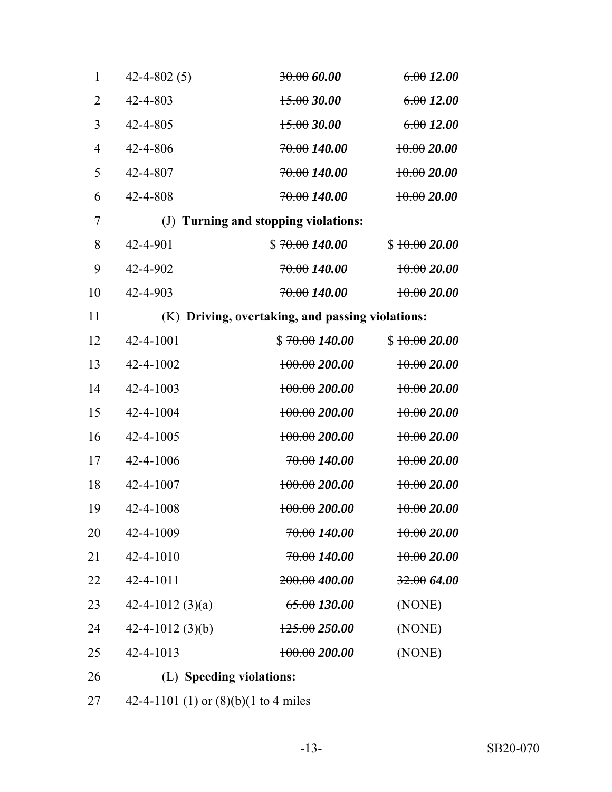| $\mathbf{1}$   | $42 - 4 - 802(5)$  | 30.00600                                         | 6.0012.00       |
|----------------|--------------------|--------------------------------------------------|-----------------|
| $\overline{2}$ | 42-4-803           | 15.0030.00                                       | 6.0012.00       |
| 3              | 42-4-805           | 15.0030.00                                       | 6.0012.00       |
| $\overline{4}$ | 42-4-806           | 70.00140.00                                      | 10.0020.00      |
| 5              | 42-4-807           | 70.00140.00                                      | 10.0020.00      |
| 6              | 42-4-808           | 70.00 140.00                                     | 10.0020.00      |
| 7              |                    | (J) Turning and stopping violations:             |                 |
| 8              | 42-4-901           | \$70.00140.00                                    | \$10.0020.00    |
| 9              | 42-4-902           | 70.00140.00                                      | $+0.0020.00$    |
| 10             | 42-4-903           | 70.00140.00                                      | $+0.0020.00$    |
| 11             |                    | (K) Driving, overtaking, and passing violations: |                 |
| 12             | 42-4-1001          | \$70.00140.00                                    | \$10.0020.00    |
| 13             | 42-4-1002          | $+00.00200.00$                                   | $+0.0020.00$    |
| 14             | 42-4-1003          | $+00.00200.00$                                   | $+0.0020.00$    |
| 15             | 42-4-1004          | $+00.00200.00$                                   | $+0.0020.00$    |
| 16             | 42-4-1005          | $+00.00200.00$                                   | $+0.0020.00$    |
| 17             | 42-4-1006          | 70.00 140.00                                     | 10.0020.00      |
| 18             | 42-4-1007          | 100.00200.00                                     | $+0.0020.00$    |
| 19             | 42-4-1008          | $+00.00200.00$                                   | $+0.0020.00$    |
| 20             | 42-4-1009          | <del>70.00</del> 140.00                          | $\pm 0.0020.00$ |
| 21             | 42-4-1010          | <del>70.00</del> 140.00                          | 10.0020.00      |
| 22             | 42-4-1011          | 200.00 400.00                                    | 32.0064.00      |
| 23             | 42-4-1012 $(3)(a)$ | 65.00130.00                                      | (NONE)          |
| 24             | 42-4-1012 $(3)(b)$ | $+25.00250.00$                                   | (NONE)          |
| 25             | 42-4-1013          | $+00.00200.00$                                   | (NONE)          |
| 26             |                    | (L) Speeding violations:                         |                 |

42-4-1101 (1) or (8)(b)(1 to 4 miles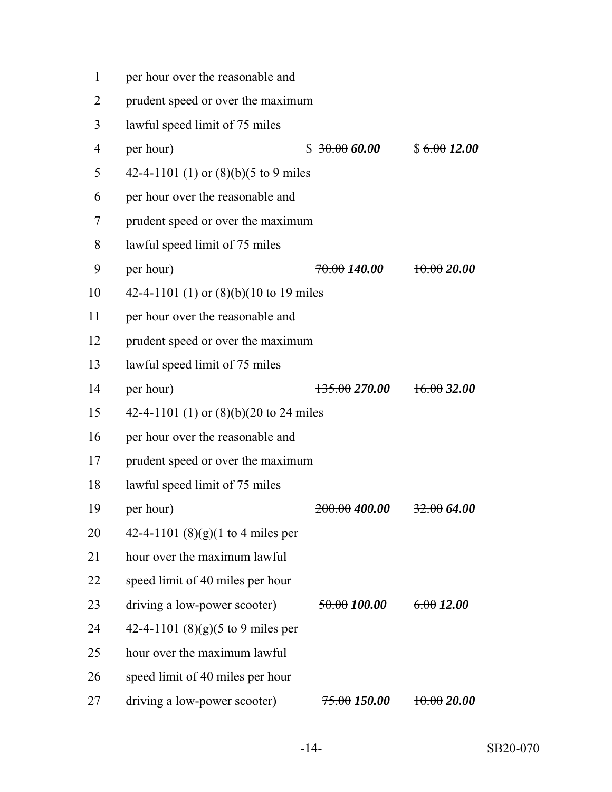| $\mathbf{1}$   | per hour over the reasonable and         |                          |             |
|----------------|------------------------------------------|--------------------------|-------------|
| $\overline{2}$ | prudent speed or over the maximum        |                          |             |
| 3              | lawful speed limit of 75 miles           |                          |             |
| $\overline{4}$ | per hour)                                | \$30.0060.00             | \$6.0012.00 |
| 5              | 42-4-1101 (1) or $(8)(b)(5)$ to 9 miles  |                          |             |
| 6              | per hour over the reasonable and         |                          |             |
| 7              | prudent speed or over the maximum        |                          |             |
| 8              | lawful speed limit of 75 miles           |                          |             |
| 9              | per hour)                                | <del>70.00</del> 140.00  | 10.0020.00  |
| 10             | 42-4-1101 (1) or $(8)(b)(10$ to 19 miles |                          |             |
| 11             | per hour over the reasonable and         |                          |             |
| 12             | prudent speed or over the maximum        |                          |             |
| 13             | lawful speed limit of 75 miles           |                          |             |
| 14             | per hour)                                | <del>135.00</del> 270.00 | 16.0032.00  |
| 15             | 42-4-1101 (1) or (8)(b)(20 to 24 miles   |                          |             |
| 16             | per hour over the reasonable and         |                          |             |
| 17             | prudent speed or over the maximum        |                          |             |
| 18             | lawful speed limit of 75 miles           |                          |             |
| 19             | per hour)                                | 200.00400.00             | 32.0064.00  |
| 20             | 42-4-1101 $(8)(g)(1 to 4 miles per)$     |                          |             |
| 21             | hour over the maximum lawful             |                          |             |
| 22             | speed limit of 40 miles per hour         |                          |             |
| 23             | driving a low-power scooter)             | 50.00100.00              | 6.0012.00   |

- 42-4-1101 (8)(g)(5 to 9 miles per
- hour over the maximum lawful
- speed limit of 40 miles per hour
- 27 driving a low-power scooter)  $75.00 150.00 10.00 20.00$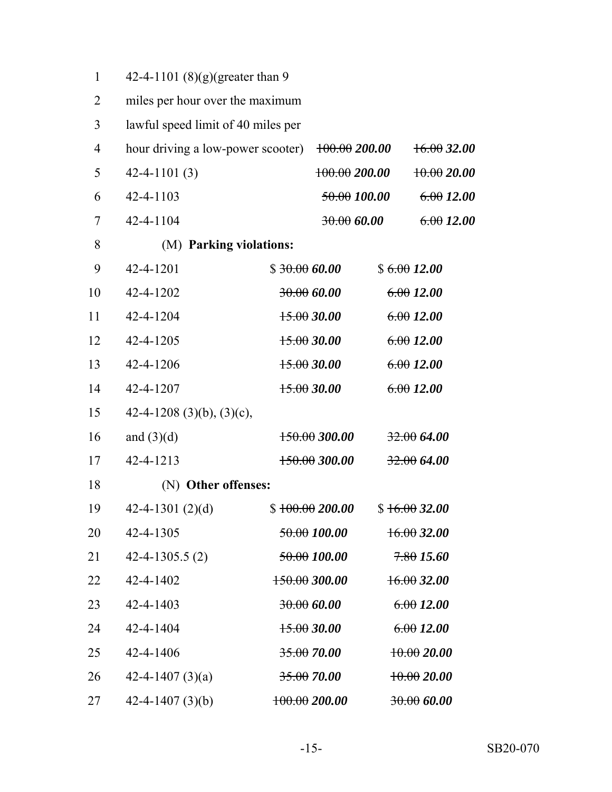| $\mathbf{1}$   | 42-4-1101 (8)(g)(greater than 9    |                         |                |
|----------------|------------------------------------|-------------------------|----------------|
| 2              | miles per hour over the maximum    |                         |                |
| 3              | lawful speed limit of 40 miles per |                         |                |
| $\overline{4}$ | hour driving a low-power scooter)  | $+00.00200.00$          | $16.00\,32.00$ |
| 5              | $42 - 4 - 1101(3)$                 | 100.00200.00            | $+0.0020.00$   |
| 6              | 42-4-1103                          | 50.00100.00             | 6.0012.00      |
| 7              | 42-4-1104                          | 30.00600                | 6.0012.00      |
| 8              | (M) Parking violations:            |                         |                |
| 9              | 42-4-1201                          | \$30.0060.00            | \$6.0012.00    |
| 10             | 42-4-1202                          | 30.00600                | 6.0012.00      |
| 11             | 42-4-1204                          | 15.0030.00              | 6.0012.00      |
| 12             | 42-4-1205                          | 15.0030.00              | 6.0012.00      |
| 13             | 42-4-1206                          | $+5.0030.00$            | 6.0012.00      |
| 14             | 42-4-1207                          | 15.0030.00              | 6.0012.00      |
| 15             | 42-4-1208 (3)(b), (3)(c),          |                         |                |
| 16             | and $(3)(d)$                       | $150.00$ 300.00         | 32.0064.00     |
| 17             | 42-4-1213                          | $150.00$ 300.00         | 32.0064.00     |
| 18             | (N) Other offenses:                |                         |                |
| 19             | 42-4-1301 $(2)(d)$                 | \$100.00200.00          | \$16.0032.00   |
| 20             | 42-4-1305                          | <del>50.00</del> 100.00 | $16.00\,32.00$ |
| 21             | $42 - 4 - 1305.5(2)$               | 50.00100.00             | 7.8015.60      |
| 22             | 42-4-1402                          | 150.00300.00            | 16.0032.00     |
| 23             | 42-4-1403                          | 30.00600                | 6.0012.00      |
| 24             | 42-4-1404                          | $+5.0030.00$            | 6.0012.00      |
| 25             | 42-4-1406                          | 35.0070.00              | $+0.0020.00$   |
| 26             | 42-4-1407 $(3)(a)$                 | $35.00\,70.00$          | $+0.0020.00$   |
| 27             | 42-4-1407 $(3)(b)$                 | $+00.00200.00$          | 30.0060.00     |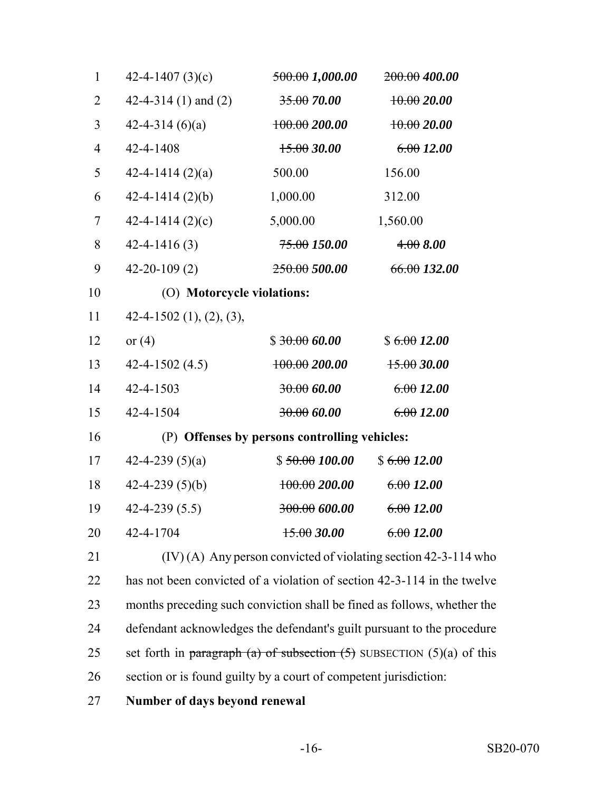| $\mathbf{1}$   | 42-4-1407 $(3)(c)$         | <del>500.00</del> 1,000.00                                              | 200.00 400.00                                                              |  |
|----------------|----------------------------|-------------------------------------------------------------------------|----------------------------------------------------------------------------|--|
| $\overline{2}$ | 42-4-314 (1) and (2)       | $35.00\,70.00$                                                          | $+0.0020.00$                                                               |  |
| 3              | $42 - 4 - 314(6)(a)$       | $+00.00200.00$                                                          | $+0.0020.00$                                                               |  |
| $\overline{4}$ | 42-4-1408                  | 15.0030.00                                                              | 6.0012.00                                                                  |  |
| 5              | $42 - 4 - 1414(2)(a)$      | 500.00                                                                  | 156.00                                                                     |  |
| 6              | $42 - 4 - 1414(2)(b)$      | 1,000.00                                                                | 312.00                                                                     |  |
| $\overline{7}$ | 42-4-1414 $(2)(c)$         | 5,000.00                                                                | 1,560.00                                                                   |  |
| 8              | $42 - 4 - 1416(3)$         | <del>75.00</del> 150.00                                                 | 4.008.00                                                                   |  |
| 9              | $42 - 20 - 109(2)$         | $250.00\,500.00$                                                        | 66.00132.00                                                                |  |
| 10             | (O) Motorcycle violations: |                                                                         |                                                                            |  |
| 11             | $42-4-1502$ (1), (2), (3), |                                                                         |                                                                            |  |
| 12             | or $(4)$                   | \$30.0060.00                                                            | \$6.0012.00                                                                |  |
| 13             | $42 - 4 - 1502(4.5)$       | $+00.00200.00$                                                          | $+5.0030.00$                                                               |  |
| 14             | 42-4-1503                  | 30.006000                                                               | 6.0012.00                                                                  |  |
| 15             | 42-4-1504                  | 30.00600                                                                | 6.0012.00                                                                  |  |
| 16             |                            | (P) Offenses by persons controlling vehicles:                           |                                                                            |  |
| 17             | 42-4-239 $(5)(a)$          | \$50.00100.00                                                           | \$6.0012.00                                                                |  |
| 18             | $42 - 4 - 239(5)(b)$       | $+00.00200.00$                                                          | 6.0012.00                                                                  |  |
| 19             | $42 - 4 - 239(5.5)$        | <del>300.00</del> 600.00                                                | 6.0012.00                                                                  |  |
| 20             | 42-4-1704                  | $+5.0030.00$                                                            | 6.0012.00                                                                  |  |
| 21             |                            |                                                                         | (IV) (A) Any person convicted of violating section 42-3-114 who            |  |
| 22             |                            |                                                                         | has not been convicted of a violation of section 42-3-114 in the twelve    |  |
| 23             |                            | months preceding such conviction shall be fined as follows, whether the |                                                                            |  |
| 24             |                            | defendant acknowledges the defendant's guilt pursuant to the procedure  |                                                                            |  |
| 25             |                            |                                                                         | set forth in paragraph (a) of subsection $(5)$ SUBSECTION $(5)(a)$ of this |  |

section or is found guilty by a court of competent jurisdiction:

**Number of days beyond renewal**